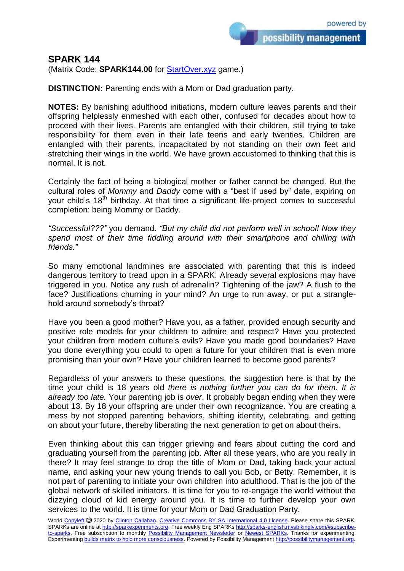## **SPARK 144**

(Matrix Code: **SPARK144.00** for **StartOver.xyz** game.)

**DISTINCTION:** Parenting ends with a Mom or Dad graduation party.

**NOTES:** By banishing adulthood initiations, modern culture leaves parents and their offspring helplessly enmeshed with each other, confused for decades about how to proceed with their lives. Parents are entangled with their children, still trying to take responsibility for them even in their late teens and early twenties. Children are entangled with their parents, incapacitated by not standing on their own feet and stretching their wings in the world. We have grown accustomed to thinking that this is normal. It is not.

Certainly the fact of being a biological mother or father cannot be changed. But the cultural roles of *Mommy* and *Daddy* come with a "best if used by" date, expiring on your child's 18<sup>th</sup> birthday. At that time a significant life-project comes to successful completion: being Mommy or Daddy.

*"Successful???"* you demand. *"But my child did not perform well in school! Now they spend most of their time fiddling around with their smartphone and chilling with friends."*

So many emotional landmines are associated with parenting that this is indeed dangerous territory to tread upon in a SPARK. Already several explosions may have triggered in you. Notice any rush of adrenalin? Tightening of the jaw? A flush to the face? Justifications churning in your mind? An urge to run away, or put a stranglehold around somebody's throat?

Have you been a good mother? Have you, as a father, provided enough security and positive role models for your children to admire and respect? Have you protected your children from modern culture's evils? Have you made good boundaries? Have you done everything you could to open a future for your children that is even more promising than your own? Have your children learned to become good parents?

Regardless of your answers to these questions, the suggestion here is that by the time your child is 18 years old *there is nothing further you can do for them*. *It is already too late.* Your parenting job is *over*. It probably began ending when they were about 13. By 18 your offspring are under their own recognizance. You are creating a mess by not stopped parenting behaviors, shifting identity, celebrating, and getting on about your future, thereby liberating the next generation to get on about theirs.

Even thinking about this can trigger grieving and fears about cutting the cord and graduating yourself from the parenting job. After all these years, who are you really in there? It may feel strange to drop the title of Mom or Dad, taking back your actual name, and asking your new young friends to call you Bob, or Betty. Remember, it is not part of parenting to initiate your own children into adulthood. That is the job of the global network of skilled initiators. It is time for you to re-engage the world without the dizzying cloud of kid energy around you. It is time to further develop your own services to the world. It is time for your Mom or Dad Graduation Party.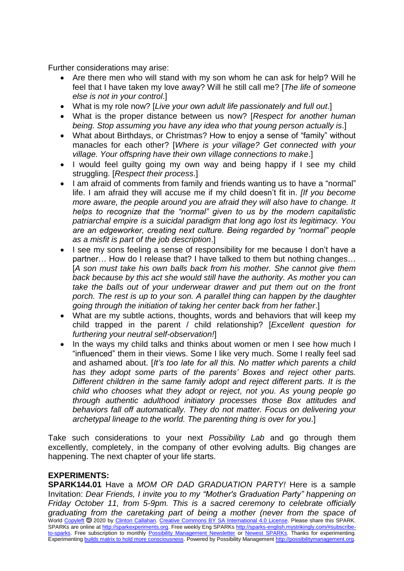Further considerations may arise:

- Are there men who will stand with my son whom he can ask for help? Will he feel that I have taken my love away? Will he still call me? [*The life of someone else is not in your control*.]
- What is my role now? [*Live your own adult life passionately and full out*.]
- What is the proper distance between us now? [*Respect for another human being. Stop assuming you have any idea who that young person actually is*.]
- What about Birthdays, or Christmas? How to enjoy a sense of "family" without manacles for each other? [*Where is your village? Get connected with your village. Your offspring have their own village connections to make*.]
- I would feel guilty going my own way and being happy if I see my child struggling. [*Respect their process*.]
- I am afraid of comments from family and friends wanting us to have a "normal" life. I am afraid they will accuse me if my child doesn't fit in. *[If you become more aware, the people around you are afraid they will also have to change. It helps to recognize that the "normal" given to us by the modern capitalistic patriarchal empire is a suicidal paradigm that long ago lost its legitimacy. You are an edgeworker, creating next culture. Being regarded by "normal" people as a misfit is part of the job description*.]
- I see my sons feeling a sense of responsibility for me because I don't have a partner… How do I release that? I have talked to them but nothing changes… [*A son must take his own balls back from his mother. She cannot give them back because by this act she would still have the authority. As mother you can take the balls out of your underwear drawer and put them out on the front porch. The rest is up to your son. A parallel thing can happen by the daughter going through the initiation of taking her center back from her father*.]
- What are my subtle actions, thoughts, words and behaviors that will keep my child trapped in the parent / child relationship? [*Excellent question for furthering your neutral self-observation!*]
- In the ways my child talks and thinks about women or men I see how much I "influenced" them in their views. Some I like very much. Some I really feel sad and ashamed about. [*It's too late for all this. No matter which parents a child has they adopt some parts of the parents' Boxes and reject other parts. Different children in the same family adopt and reject different parts. It is the child who chooses what they adopt or reject, not you. As young people go through authentic adulthood initiatory processes those Box attitudes and behaviors fall off automatically. They do not matter. Focus on delivering your archetypal lineage to the world. The parenting thing is over for you*.]

Take such considerations to your next *Possibility Lab* and go through them excellently, completely, in the company of other evolving adults. Big changes are happening. The next chapter of your life starts.

## **EXPERIMENTS:**

World [Copyleft](https://en.wikipedia.org/wiki/Copyleft) <sup>®</sup> 2020 by [Clinton Callahan.](http://clintoncallahan.mystrikingly.com/) [Creative Commons BY SA International 4.0 License.](https://creativecommons.org/licenses/by-sa/4.0/) Please share this SPARK. SPARKs are online at [http://sparkexperiments.org.](http://sparks-english.mystrikingly.com/) Free weekly Eng SPARKs [http://sparks-english.mystrikingly.com/#subscribe](http://sparks-english.mystrikingly.com/#subscribe-to-sparks)[to-sparks.](http://sparks-english.mystrikingly.com/#subscribe-to-sparks) Free subscription to monthly [Possibility Management Newsletter](https://possibilitymanagement.org/news/) or [Newest SPARKs.](https://www.clintoncallahan.org/newsletter-1) Thanks for experimenting. Experimentin[g builds matrix to hold more consciousness.](http://spaceport.mystrikingly.com/) Powered by Possibility Managemen[t http://possibilitymanagement.org.](http://possibilitymanagement.org/) **SPARK144.01** Have a *MOM OR DAD GRADUATION PARTY!* Here is a sample Invitation: *Dear Friends, I invite you to my "Mother's Graduation Party" happening on Friday October 11, from 5-9pm. This is a sacred ceremony to celebrate officially graduating from the caretaking part of being a mother (never from the space of*